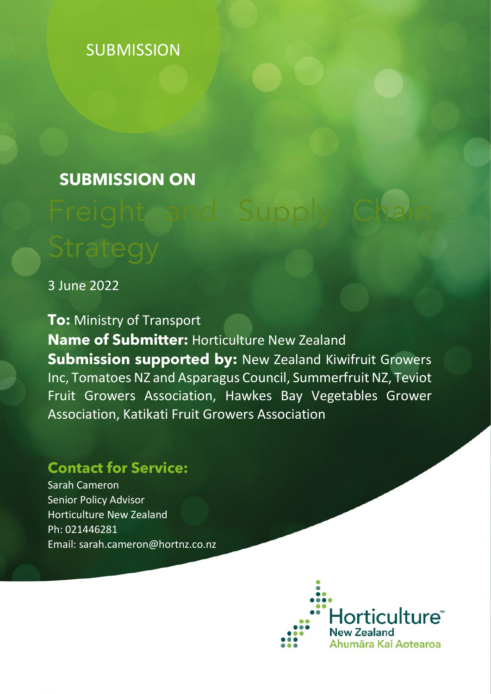# **SUBMISSION**

# **SUBMISSION ON**

# Freight and Supply Chain

3 June 2022

**To:** Ministry of Transport **Name of Submitter:** Horticulture New Zealand **Submission supported by:** New Zealand Kiwifruit Growers Inc, Tomatoes NZ and Asparagus Council, Summerfruit NZ, Teviot Fruit Growers Association, Hawkes Bay Vegetables Grower Association, Katikati Fruit Growers Association

# **Contact for Service:**

Sarah Cameron Senior Policy Advisor Horticulture New Zealand Ph: 021446281 Email: sarah.cameron@hortnz.co.nz

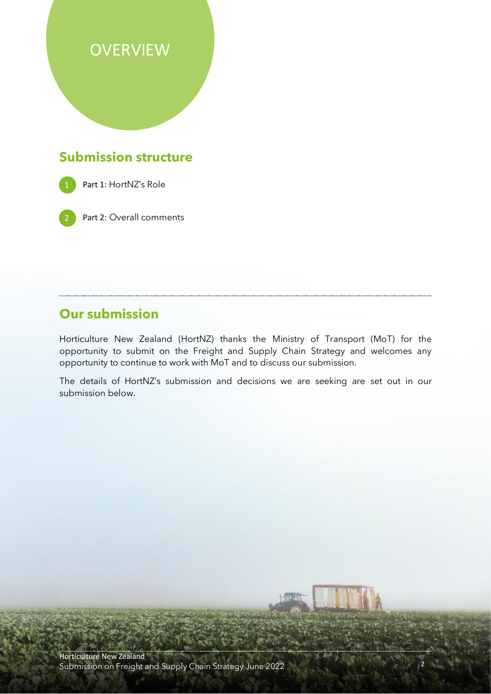# **OVERVIEW**

# **Submission structure**



Part 1: HortNZ's Role

Part 2: Overall comments

## **Our submission**

Horticulture New Zealand (HortNZ) thanks the Ministry of Transport (MoT) for the opportunity to submit on the Freight and Supply Chain Strategy and welcomes any opportunity to continue to work with MoT and to discuss our submission.

The details of HortNZ's submission and decisions we are seeking are set out in our submission below.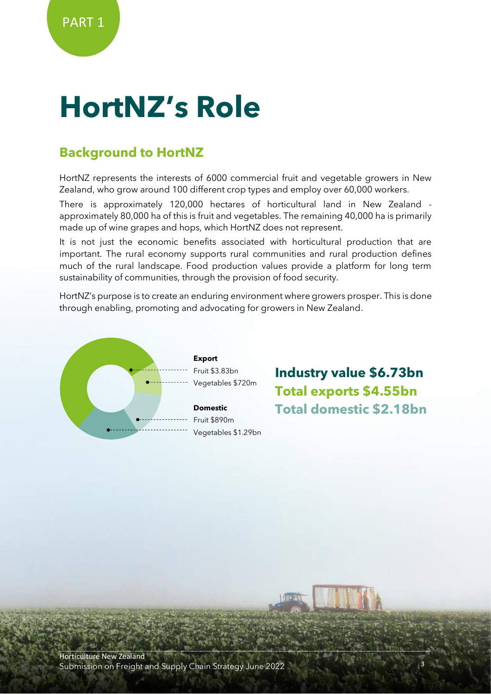# **HortNZ's Role**

# **Background to HortNZ**

HortNZ represents the interests of 6000 commercial fruit and vegetable growers in New Zealand, who grow around 100 different crop types and employ over 60,000 workers.

There is approximately 120,000 hectares of horticultural land in New Zealand approximately 80,000 ha of this is fruit and vegetables. The remaining 40,000 ha is primarily made up of wine grapes and hops, which HortNZ does not represent.

It is not just the economic benefits associated with horticultural production that are important. The rural economy supports rural communities and rural production defines much of the rural landscape. Food production values provide a platform for long term sustainability of communities, through the provision of food security.

HortNZ's purpose is to create an enduring environment where growers prosper. This is done through enabling, promoting and advocating for growers in New Zealand.



**Industry value \$6.73bn Total exports \$4.55bn Total domestic \$2.18bn**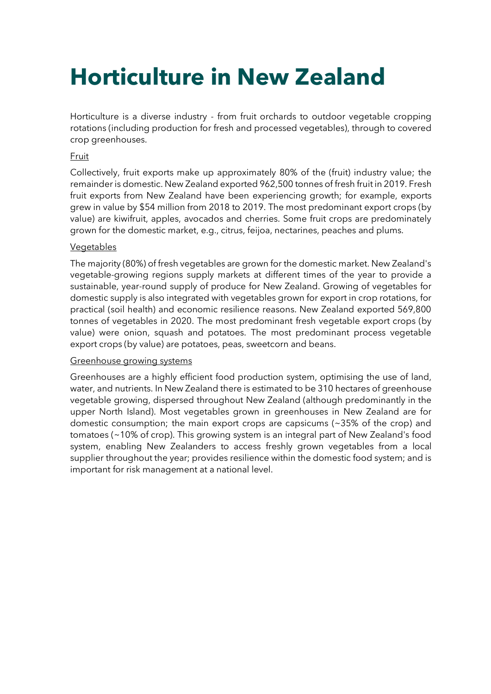# **Horticulture in New Zealand**

Horticulture is a diverse industry - from fruit orchards to outdoor vegetable cropping rotations (including production for fresh and processed vegetables), through to covered crop greenhouses.

#### **Fruit**

Collectively, fruit exports make up approximately 80% of the (fruit) industry value; the remainder is domestic. New Zealand exported 962,500 tonnes of fresh fruit in 2019. Fresh fruit exports from New Zealand have been experiencing growth; for example, exports grew in value by \$54 million from 2018 to 2019. The most predominant export crops (by value) are kiwifruit, apples, avocados and cherries. Some fruit crops are predominately grown for the domestic market, e.g., citrus, feijoa, nectarines, peaches and plums.

#### **Vegetables**

The majority (80%) of fresh vegetables are grown for the domestic market. New Zealand's vegetable-growing regions supply markets at different times of the year to provide a sustainable, year-round supply of produce for New Zealand. Growing of vegetables for domestic supply is also integrated with vegetables grown for export in crop rotations, for practical (soil health) and economic resilience reasons. New Zealand exported 569,800 tonnes of vegetables in 2020. The most predominant fresh vegetable export crops (by value) were onion, squash and potatoes. The most predominant process vegetable export crops (by value) are potatoes, peas, sweetcorn and beans.

#### Greenhouse growing systems

Greenhouses are a highly efficient food production system, optimising the use of land, water, and nutrients. In New Zealand there is estimated to be 310 hectares of greenhouse vegetable growing, dispersed throughout New Zealand (although predominantly in the upper North Island). Most vegetables grown in greenhouses in New Zealand are for domestic consumption; the main export crops are capsicums (~35% of the crop) and tomatoes (~10% of crop). This growing system is an integral part of New Zealand's food system, enabling New Zealanders to access freshly grown vegetables from a local supplier throughout the year; provides resilience within the domestic food system; and is important for risk management at a national level.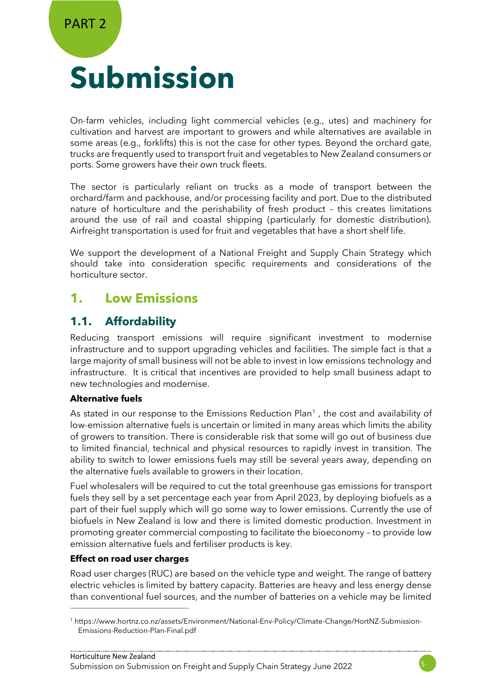# **Submission**

On-farm vehicles, including light commercial vehicles (e.g., utes) and machinery for cultivation and harvest are important to growers and while alternatives are available in some areas (e.g., forklifts) this is not the case for other types. Beyond the orchard gate, trucks are frequently used to transport fruit and vegetables to New Zealand consumers or ports. Some growers have their own truck fleets.

The sector is particularly reliant on trucks as a mode of transport between the orchard/farm and packhouse, and/or processing facility and port. Due to the distributed nature of horticulture and the perishability of fresh product – this creates limitations around the use of rail and coastal shipping (particularly for domestic distribution). Airfreight transportation is used for fruit and vegetables that have a short shelf life.

We support the development of a National Freight and Supply Chain Strategy which should take into consideration specific requirements and considerations of the horticulture sector.

### **1. Low Emissions**

#### **1.1. Affordability**

Reducing transport emissions will require significant investment to modernise infrastructure and to support upgrading vehicles and facilities. The simple fact is that a large majority of small business will not be able to invest in low emissions technology and infrastructure. It is critical that incentives are provided to help small business adapt to new technologies and modernise.

#### **Alternative fuels**

As stated in our response to the Emissions Reduction Plan<sup>1</sup>, the cost and availability of low-emission alternative fuels is uncertain or limited in many areas which limits the ability of growers to transition. There is considerable risk that some will go out of business due to limited financial, technical and physical resources to rapidly invest in transition. The ability to switch to lower emissions fuels may still be several years away, depending on the alternative fuels available to growers in their location.

Fuel wholesalers will be required to cut the total greenhouse gas emissions for transport fuels they sell by a set percentage each year from April 2023, by deploying biofuels as a part of their fuel supply which will go some way to lower emissions. Currently the use of biofuels in New Zealand is low and there is limited domestic production. Investment in promoting greater commercial composting to facilitate the bioeconomy – to provide low emission alternative fuels and fertiliser products is key.

#### **Effect on road user charges**

Road user charges (RUC) are based on the vehicle type and weight. The range of battery electric vehicles is limited by battery capacity. Batteries are heavy and less energy dense than conventional fuel sources, and the number of batteries on a vehicle may be limited



<sup>1</sup> https://www.hortnz.co.nz/assets/Environment/National-Env-Policy/Climate-Change/HortNZ-Submission-Emissions-Reduction-Plan-Final.pdf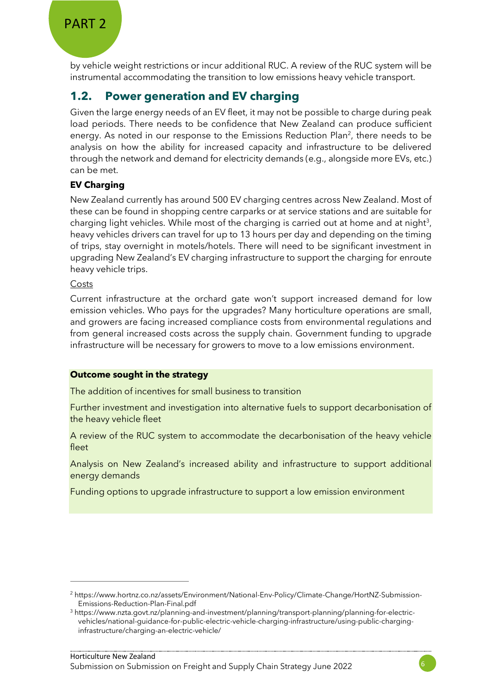by vehicle weight restrictions or incur additional RUC. A review of the RUC system will be instrumental accommodating the transition to low emissions heavy vehicle transport.

### **1.2. Power generation and EV charging**

Given the large energy needs of an EV fleet, it may not be possible to charge during peak load periods. There needs to be confidence that New Zealand can produce sufficient energy. As noted in our response to the Emissions Reduction Plan<sup>2</sup>, there needs to be analysis on how the ability for increased capacity and infrastructure to be delivered through the network and demand for electricity demands (e.g., alongside more EVs, etc.) can be met.

#### **EV Charging**

New Zealand currently has around 500 EV charging centres across New Zealand. Most of these can be found in shopping centre carparks or at service stations and are suitable for charging light vehicles. While most of the charging is carried out at home and at night<sup>3</sup>, heavy vehicles drivers can travel for up to 13 hours per day and depending on the timing of trips, stay overnight in motels/hotels. There will need to be significant investment in upgrading New Zealand's EV charging infrastructure to support the charging for enroute heavy vehicle trips.

#### Costs

Current infrastructure at the orchard gate won't support increased demand for low emission vehicles. Who pays for the upgrades? Many horticulture operations are small, and growers are facing increased compliance costs from environmental regulations and from general increased costs across the supply chain. Government funding to upgrade infrastructure will be necessary for growers to move to a low emissions environment.

#### **Outcome sought in the strategy**

The addition of incentives for small business to transition

Further investment and investigation into alternative fuels to support decarbonisation of the heavy vehicle fleet

A review of the RUC system to accommodate the decarbonisation of the heavy vehicle fleet

Analysis on New Zealand's increased ability and infrastructure to support additional energy demands

Funding options to upgrade infrastructure to support a low emission environment

<sup>2</sup> https://www.hortnz.co.nz/assets/Environment/National-Env-Policy/Climate-Change/HortNZ-Submission-Emissions-Reduction-Plan-Final.pdf

<sup>3</sup> https://www.nzta.govt.nz/planning-and-investment/planning/transport-planning/planning-for-electricvehicles/national-guidance-for-public-electric-vehicle-charging-infrastructure/using-public-charginginfrastructure/charging-an-electric-vehicle/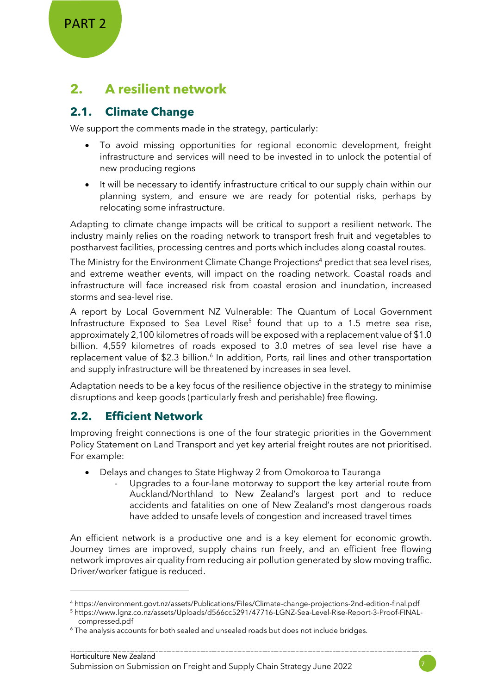PART 2

# **2. A resilient network**

#### **2.1. Climate Change**

We support the comments made in the strategy, particularly:

- To avoid missing opportunities for regional economic development, freight infrastructure and services will need to be invested in to unlock the potential of new producing regions
- It will be necessary to identify infrastructure critical to our supply chain within our planning system, and ensure we are ready for potential risks, perhaps by relocating some infrastructure.

Adapting to climate change impacts will be critical to support a resilient network. The industry mainly relies on the roading network to transport fresh fruit and vegetables to postharvest facilities, processing centres and ports which includes along coastal routes.

The Ministry for the Environment Climate Change Projections<sup>4</sup> predict that sea level rises, and extreme weather events, will impact on the roading network. Coastal roads and infrastructure will face increased risk from coastal erosion and inundation, increased storms and sea-level rise.

A report by Local Government NZ Vulnerable: The Quantum of Local Government Infrastructure Exposed to Sea Level Rise<sup>5</sup> found that up to a 1.5 metre sea rise, approximately 2,100 kilometres of roads will be exposed with a replacement value of \$1.0 billion. 4,559 kilometres of roads exposed to 3.0 metres of sea level rise have a replacement value of \$2.3 billion.<sup>6</sup> In addition, Ports, rail lines and other transportation and supply infrastructure will be threatened by increases in sea level.

Adaptation needs to be a key focus of the resilience objective in the strategy to minimise disruptions and keep goods (particularly fresh and perishable) free flowing.

#### **2.2. Efficient Network**

Improving freight connections is one of the four strategic priorities in the Government Policy Statement on Land Transport and yet key arterial freight routes are not prioritised. For example:

- Delays and changes to State Highway 2 from Omokoroa to Tauranga
	- Upgrades to a four-lane motorway to support the key arterial route from Auckland/Northland to New Zealand's largest port and to reduce accidents and fatalities on one of New Zealand's most dangerous roads have added to unsafe levels of congestion and increased travel times

An efficient network is a productive one and is a key element for economic growth. Journey times are improved, supply chains run freely, and an efficient free flowing network improves air quality from reducing air pollution generated by slow moving traffic. Driver/worker fatigue is reduced.



<sup>4</sup> https://environment.govt.nz/assets/Publications/Files/Climate-change-projections-2nd-edition-final.pdf

<sup>5</sup> https://www.lgnz.co.nz/assets/Uploads/d566cc5291/47716-LGNZ-Sea-Level-Rise-Report-3-Proof-FINALcompressed.pdf

<sup>&</sup>lt;sup>6</sup> The analysis accounts for both sealed and unsealed roads but does not include bridges.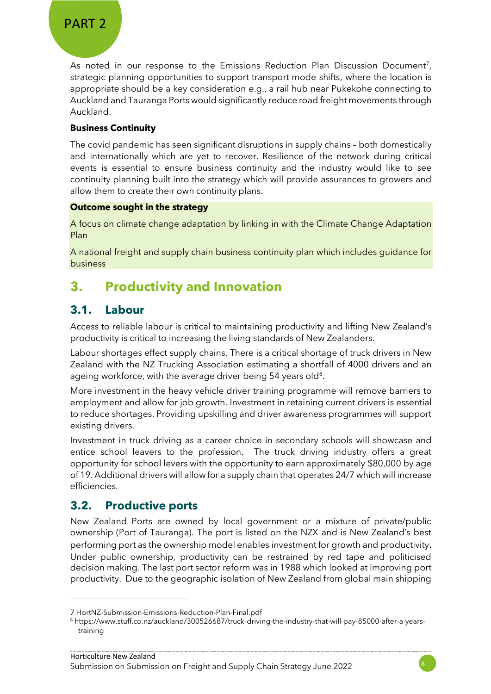As noted in our response to the Emissions Reduction Plan Discussion Document<sup>7</sup>, strategic planning opportunities to support transport mode shifts, where the location is appropriate should be a key consideration e.g., a rail hub near Pukekohe connecting to Auckland and Tauranga Ports would significantly reduce road freight movements through Auckland.

#### **Business Continuity**

The covid pandemic has seen significant disruptions in supply chains – both domestically and internationally which are yet to recover. Resilience of the network during critical events is essential to ensure business continuity and the industry would like to see continuity planning built into the strategy which will provide assurances to growers and allow them to create their own continuity plans.

#### **Outcome sought in the strategy**

A focus on climate change adaptation by linking in with the Climate Change Adaptation Plan

A national freight and supply chain business continuity plan which includes guidance for business

# **3. Productivity and Innovation**

#### **3.1. Labour**

Access to reliable labour is critical to maintaining productivity and lifting New Zealand's productivity is critical to increasing the living standards of New Zealanders.

Labour shortages effect supply chains. There is a critical shortage of truck drivers in New Zealand with the NZ Trucking Association estimating a shortfall of 4000 drivers and an ageing workforce, with the average driver being 54 years old $8$ .

More investment in the heavy vehicle driver training programme will remove barriers to employment and allow for job growth. Investment in retaining current drivers is essential to reduce shortages. Providing upskilling and driver awareness programmes will support existing drivers.

Investment in truck driving as a career choice in secondary schools will showcase and entice school leavers to the profession. The truck driving industry offers a great opportunity for school levers with the opportunity to earn approximately \$80,000 by age of 19. Additional drivers will allow for a supply chain that operates 24/7 which will increase efficiencies.

#### **3.2. Productive ports**

New Zealand Ports are owned by local government or a mixture of private/public ownership (Port of Tauranga). The port is listed on the NZX and is New Zealand's best performing port as the ownership model enables investment for growth and productivity. Under public ownership, productivity can be restrained by red tape and politicised decision making. The last port sector reform was in 1988 which looked at improving port productivity. Due to the geographic isolation of New Zealand from global main shipping



<sup>7</sup> [HortNZ-Submission-Emissions-Reduction-Plan-Final.pdf](https://www.hortnz.co.nz/assets/Environment/National-Env-Policy/Climate-Change/HortNZ-Submission-Emissions-Reduction-Plan-Final.pdf)

<sup>8</sup> https://www.stuff.co.nz/auckland/300526687/truck-driving-the-industry-that-will-pay-85000-after-a-yearstraining